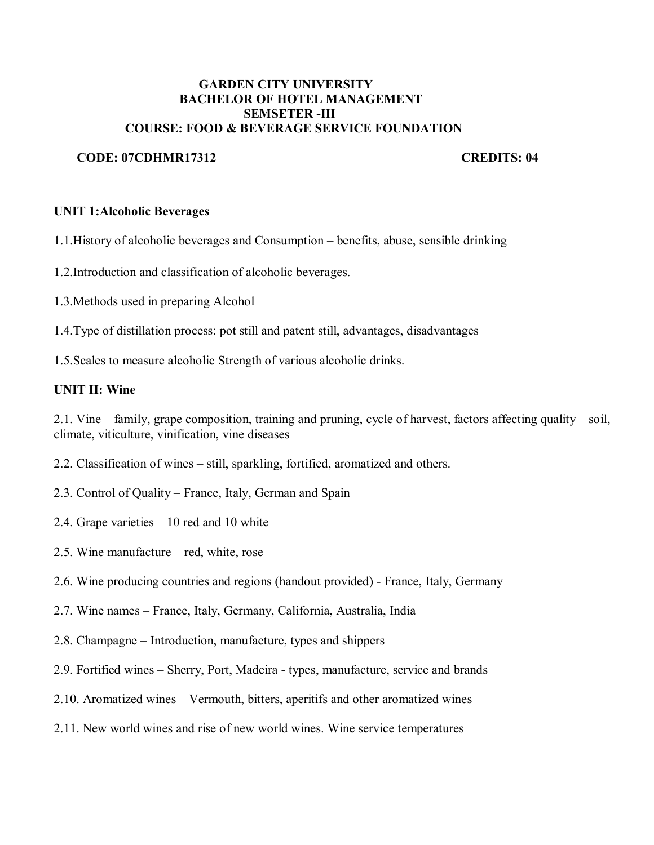### **GARDEN CITY UNIVERSITY BACHELOR OF HOTEL MANAGEMENT SEMSETER -III COURSE: FOOD & BEVERAGE SERVICE FOUNDATION**

## **CODE: 07CDHMR17312 CREDITS: 04**

## **UNIT 1:Alcoholic Beverages**

1.1.History of alcoholic beverages and Consumption – benefits, abuse, sensible drinking

- 1.2.Introduction and classification of alcoholic beverages.
- 1.3.Methods used in preparing Alcohol
- 1.4.Type of distillation process: pot still and patent still, advantages, disadvantages
- 1.5.Scales to measure alcoholic Strength of various alcoholic drinks.

## **UNIT II: Wine**

2.1. Vine – family, grape composition, training and pruning, cycle of harvest, factors affecting quality – soil, climate, viticulture, vinification, vine diseases

- 2.2. Classification of wines still, sparkling, fortified, aromatized and others.
- 2.3. Control of Quality France, Italy, German and Spain
- 2.4. Grape varieties 10 red and 10 white
- 2.5. Wine manufacture red, white, rose
- 2.6. Wine producing countries and regions (handout provided) France, Italy, Germany
- 2.7. Wine names France, Italy, Germany, California, Australia, India
- 2.8. Champagne Introduction, manufacture, types and shippers
- 2.9. Fortified wines Sherry, Port, Madeira types, manufacture, service and brands
- 2.10. Aromatized wines Vermouth, bitters, aperitifs and other aromatized wines
- 2.11. New world wines and rise of new world wines. Wine service temperatures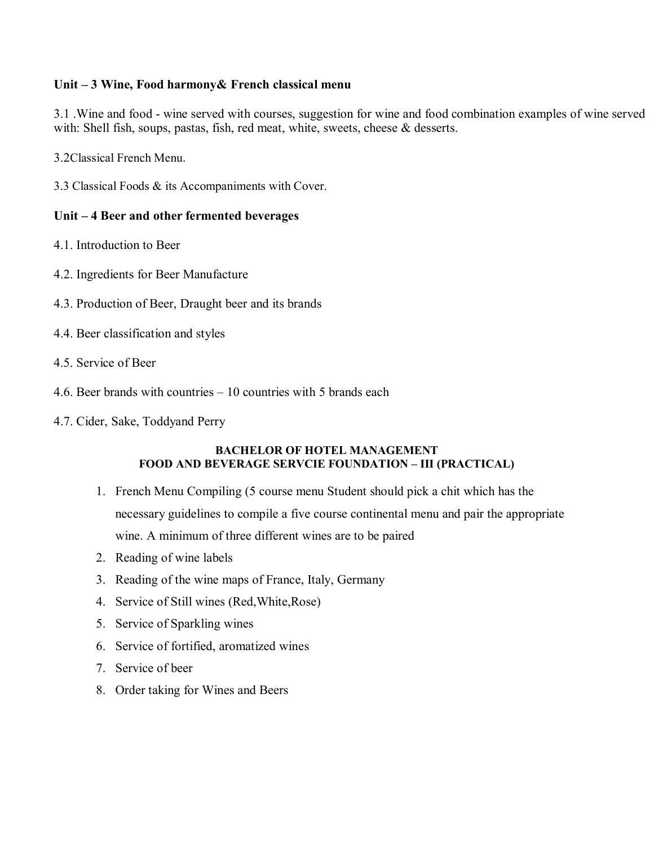## **Unit – 3 Wine, Food harmony& French classical menu**

3.1 .Wine and food - wine served with courses, suggestion for wine and food combination examples of wine served with: Shell fish, soups, pastas, fish, red meat, white, sweets, cheese & desserts.

3.2Classical French Menu.

3.3 Classical Foods & its Accompaniments with Cover.

### **Unit – 4 Beer and other fermented beverages**

- 4.1. Introduction to Beer
- 4.2. Ingredients for Beer Manufacture
- 4.3. Production of Beer, Draught beer and its brands
- 4.4. Beer classification and styles
- 4.5. Service of Beer
- 4.6. Beer brands with countries 10 countries with 5 brands each
- 4.7. Cider, Sake, Toddyand Perry

#### **BACHELOR OF HOTEL MANAGEMENT FOOD AND BEVERAGE SERVCIE FOUNDATION – III (PRACTICAL)**

- 1. French Menu Compiling (5 course menu Student should pick a chit which has the necessary guidelines to compile a five course continental menu and pair the appropriate wine. A minimum of three different wines are to be paired
- 2. Reading of wine labels
- 3. Reading of the wine maps of France, Italy, Germany
- 4. Service of Still wines (Red,White,Rose)
- 5. Service of Sparkling wines
- 6. Service of fortified, aromatized wines
- 7. Service of beer
- 8. Order taking for Wines and Beers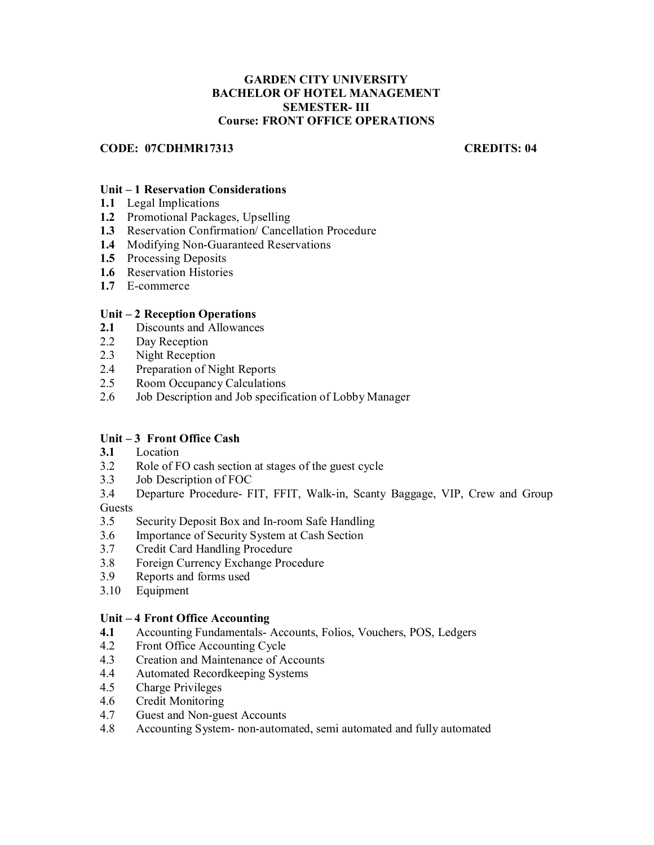#### **GARDEN CITY UNIVERSITY BACHELOR OF HOTEL MANAGEMENT SEMESTER- III Course: FRONT OFFICE OPERATIONS**

#### **CODE: 07CDHMR17313 CREDITS: 04**

#### **Unit – 1 Reservation Considerations**

- **1.1** Legal Implications
- **1.2** Promotional Packages, Upselling
- **1.3** Reservation Confirmation/ Cancellation Procedure
- **1.4** Modifying Non-Guaranteed Reservations
- **1.5** Processing Deposits
- **1.6** Reservation Histories
- **1.7** E-commerce

#### **Unit – 2 Reception Operations**

- **2.1** Discounts and Allowances
- 2.2 Day Reception
- 2.3 Night Reception
- 2.4 Preparation of Night Reports
- 2.5 Room Occupancy Calculations
- 2.6 Job Description and Job specification of Lobby Manager

#### **Unit – 3 Front Office Cash**

- **3.1** Location
- 3.2 Role of FO cash section at stages of the guest cycle
- 3.3 Job Description of FOC
- 3.4 Departure Procedure- FIT, FFIT, Walk-in, Scanty Baggage, VIP, Crew and Group **Guests**
- 3.5 Security Deposit Box and In-room Safe Handling
- 3.6 Importance of Security System at Cash Section
- 3.7 Credit Card Handling Procedure
- 3.8 Foreign Currency Exchange Procedure<br>3.9 Reports and forms used
- 3.9 Reports and forms used
- 3.10 Equipment

#### **Unit – 4 Front Office Accounting**

- **4.1** Accounting Fundamentals- Accounts, Folios, Vouchers, POS, Ledgers
- 4.2 Front Office Accounting Cycle
- 4.3 Creation and Maintenance of Accounts
- 4.4 Automated Recordkeeping Systems
- 4.5 Charge Privileges
- 4.6 Credit Monitoring
- 4.7 Guest and Non-guest Accounts
- 4.8 Accounting System- non-automated, semi automated and fully automated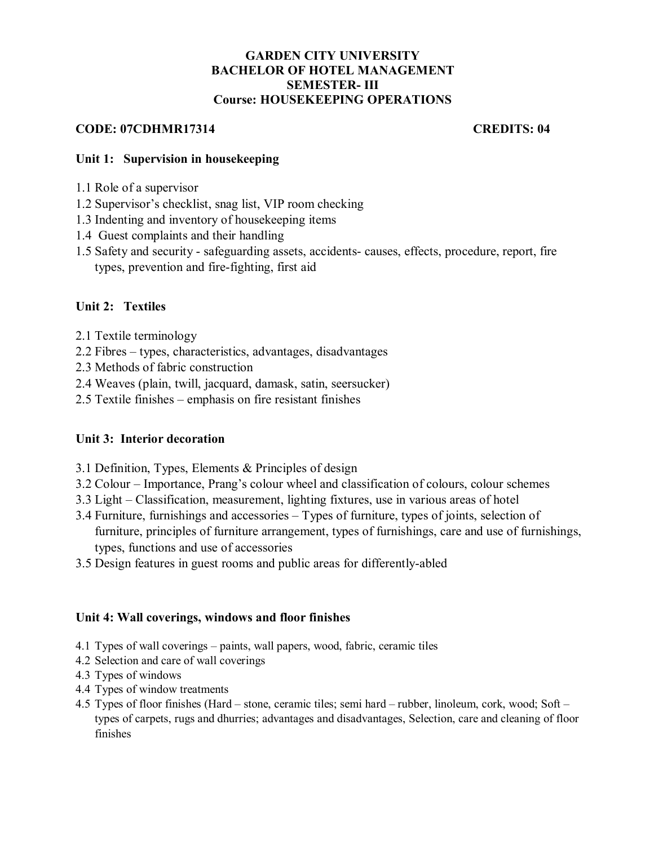## **GARDEN CITY UNIVERSITY BACHELOR OF HOTEL MANAGEMENT SEMESTER- III Course: HOUSEKEEPING OPERATIONS**

## **CODE: 07CDHMR17314 CREDITS: 04**

## **Unit 1: Supervision in housekeeping**

- 1.1 Role of a supervisor
- 1.2 Supervisor's checklist, snag list, VIP room checking
- 1.3 Indenting and inventory of housekeeping items
- 1.4 Guest complaints and their handling
- 1.5 Safety and security safeguarding assets, accidents- causes, effects, procedure, report, fire types, prevention and fire-fighting, first aid

## **Unit 2: Textiles**

- 2.1 Textile terminology
- 2.2 Fibres types, characteristics, advantages, disadvantages
- 2.3 Methods of fabric construction
- 2.4 Weaves (plain, twill, jacquard, damask, satin, seersucker)
- 2.5 Textile finishes emphasis on fire resistant finishes

## **Unit 3: Interior decoration**

- 3.1 Definition, Types, Elements & Principles of design
- 3.2 Colour Importance, Prang's colour wheel and classification of colours, colour schemes
- 3.3 Light Classification, measurement, lighting fixtures, use in various areas of hotel
- 3.4 Furniture, furnishings and accessories Types of furniture, types of joints, selection of furniture, principles of furniture arrangement, types of furnishings, care and use of furnishings, types, functions and use of accessories
- 3.5 Design features in guest rooms and public areas for differently-abled

### **Unit 4: Wall coverings, windows and floor finishes**

- 4.1 Types of wall coverings paints, wall papers, wood, fabric, ceramic tiles
- 4.2 Selection and care of wall coverings
- 4.3 Types of windows
- 4.4 Types of window treatments
- 4.5 Types of floor finishes (Hard stone, ceramic tiles; semi hard rubber, linoleum, cork, wood; Soft types of carpets, rugs and dhurries; advantages and disadvantages, Selection, care and cleaning of floor finishes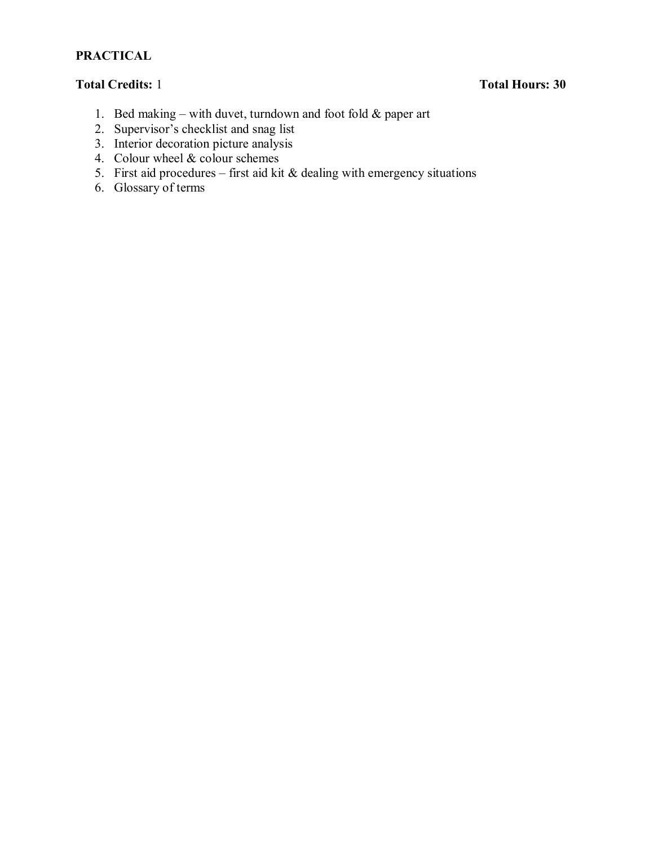# **PRACTICAL**

# **Total Credits:** 1 **Total Hours: 30**

- 1. Bed making with duvet, turndown and foot fold  $&$  paper art
- 2. Supervisor's checklist and snag list
- 3. Interior decoration picture analysis
- 4. Colour wheel & colour schemes
- 5. First aid procedures first aid kit  $\&$  dealing with emergency situations
- 6. Glossary of terms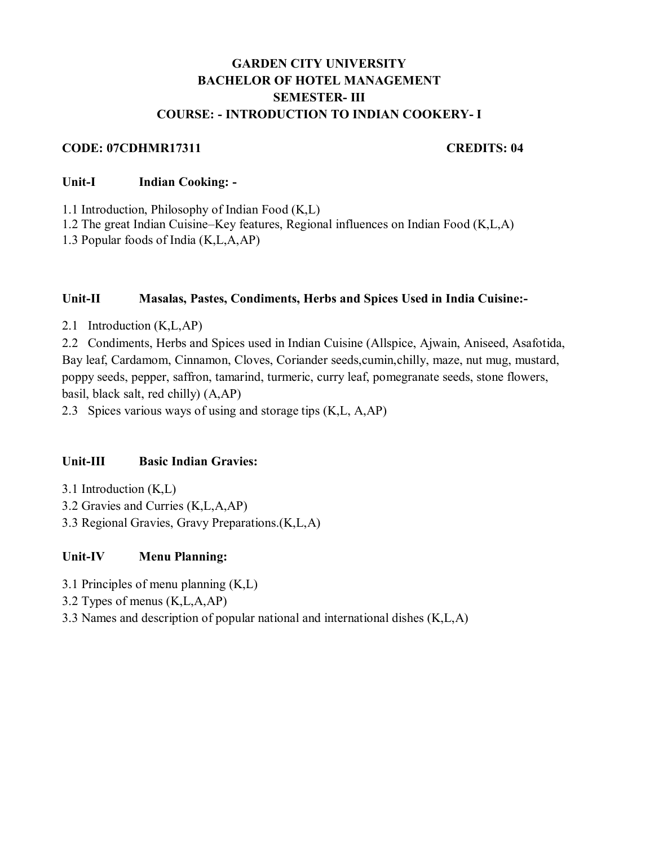# **GARDEN CITY UNIVERSITY BACHELOR OF HOTEL MANAGEMENT SEMESTER- III COURSE: - INTRODUCTION TO INDIAN COOKERY- I**

### **CODE: 07CDHMR17311 CREDITS: 04**

### **Unit-I Indian Cooking: -**

1.1 Introduction, Philosophy of Indian Food (K,L)

1.2 The great Indian Cuisine–Key features, Regional influences on Indian Food (K,L,A)

1.3 Popular foods of India (K,L,A,AP)

#### **Unit-II Masalas, Pastes, Condiments, Herbs and Spices Used in India Cuisine:-**

2.1 Introduction (K,L,AP)

2.2 Condiments, Herbs and Spices used in Indian Cuisine (Allspice, Ajwain, Aniseed, Asafotida, Bay leaf, Cardamom, Cinnamon, Cloves, Coriander seeds,cumin,chilly, maze, nut mug, mustard, poppy seeds, pepper, saffron, tamarind, turmeric, curry leaf, pomegranate seeds, stone flowers, basil, black salt, red chilly) (A,AP)

2.3 Spices various ways of using and storage tips (K,L, A,AP)

## **Unit-III Basic Indian Gravies:**

- 3.1 Introduction (K,L)
- 3.2 Gravies and Curries (K,L,A,AP)
- 3.3 Regional Gravies, Gravy Preparations.(K,L,A)

## **Unit-IV Menu Planning:**

- 3.1 Principles of menu planning (K,L)
- 3.2 Types of menus (K,L,A,AP)
- 3.3 Names and description of popular national and international dishes (K,L,A)